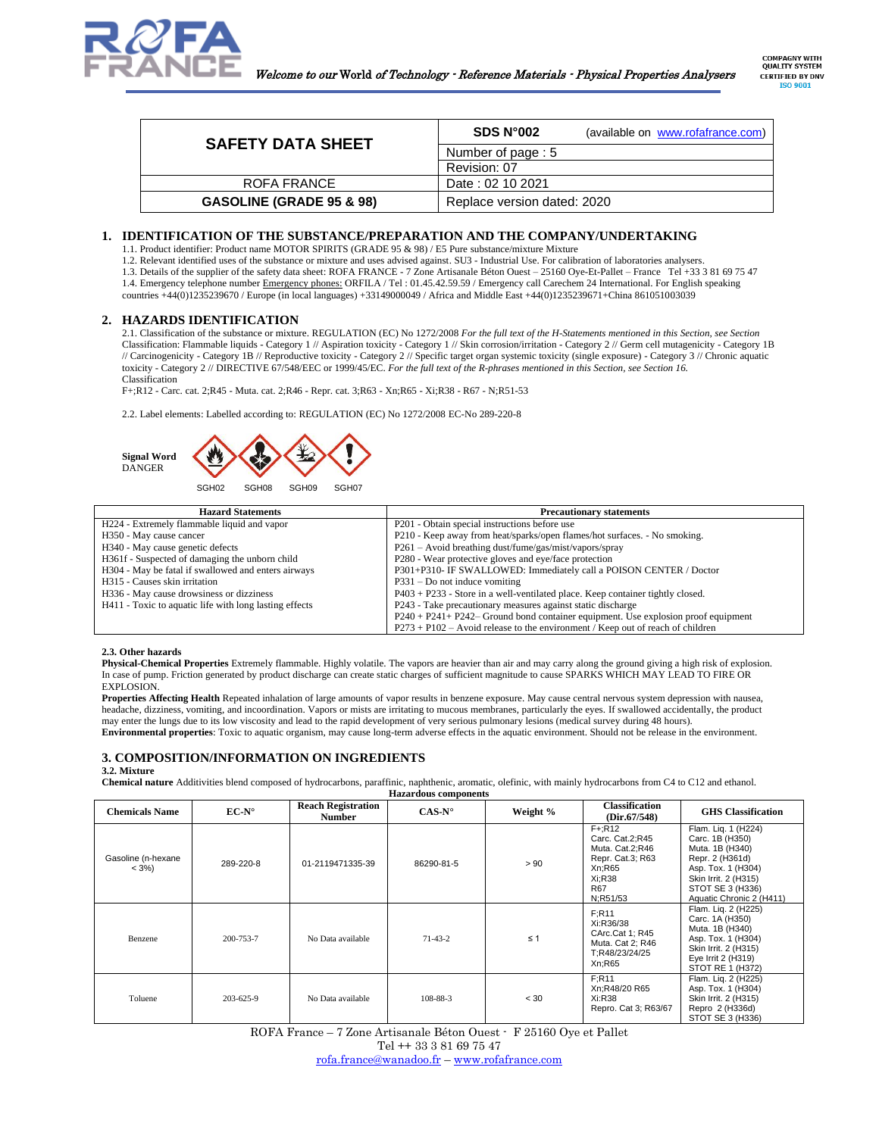

| <b>SAFETY DATA SHEET</b>            | SDS N <sup>o</sup> 002<br>(available on www.rofafrance.com) |
|-------------------------------------|-------------------------------------------------------------|
|                                     | Number of page: 5                                           |
|                                     | Revision: 07                                                |
| ROFA FRANCE                         | Date: 02 10 2021                                            |
| <b>GASOLINE (GRADE 95 &amp; 98)</b> | Replace version dated: 2020                                 |

# **1. IDENTIFICATION OF THE SUBSTANCE/PREPARATION AND THE COMPANY/UNDERTAKING**

1.1. Product identifier: Product name MOTOR SPIRITS (GRADE 95 & 98) / E5 Pure substance/mixture Mixture

1.2. Relevant identified uses of the substance or mixture and uses advised against. SU3 - Industrial Use. For calibration of laboratories analysers.

1.3. Details of the supplier of the safety data sheet: ROFA FRANCE - 7 Zone Artisanale Béton Ouest – 25160 Oye-Et-Pallet – France Tel +33 3 81 69 75 47 1.4. Emergency telephone number Emergency phones: ORFILA / Tel : 01.45.42.59.59 / Emergency call Carechem 24 International. For English speaking countries +44(0)1235239670 / Europe (in local languages) +33149000049 / Africa and Middle East +44(0)1235239671+China 861051003039

# **2. HAZARDS IDENTIFICATION**

2.1. Classification of the substance or mixture. REGULATION (EC) No 1272/2008 *For the full text of the H-Statements mentioned in this Section, see Section*  Classification: Flammable liquids - Category 1 // Aspiration toxicity - Category 1 // Skin corrosion/irritation - Category 2 // Germ cell mutagenicity - Category 1B // Carcinogenicity - Category 1B // Reproductive toxicity - Category 2 // Specific target organ systemic toxicity (single exposure) - Category 3 // Chronic aquatic toxicity - Category 2 // DIRECTIVE 67/548/EEC or 1999/45/EC. *For the full text of the R-phrases mentioned in this Section, see Section 16.* Classification

F+;R12 - Carc. cat. 2;R45 - Muta. cat. 2;R46 - Repr. cat. 3;R63 - Xn;R65 - Xi;R38 - R67 - N;R51-53

2.2. Label elements: Labelled according to: REGULATION (EC) No 1272/2008 EC-No 289-220-8



| <b>Hazard Statements</b>                               | <b>Precautionary statements</b>                                                     |
|--------------------------------------------------------|-------------------------------------------------------------------------------------|
| H224 - Extremely flammable liquid and vapor            | P201 - Obtain special instructions before use                                       |
| H350 - May cause cancer                                | P210 - Keep away from heat/sparks/open flames/hot surfaces. - No smoking.           |
| H340 - May cause genetic defects                       | P261 – Avoid breathing dust/fume/gas/mist/vapors/spray                              |
| H361f - Suspected of damaging the unborn child         | P280 - Wear protective gloves and eye/face protection                               |
| H304 - May be fatal if swallowed and enters airways    | P301+P310- IF SWALLOWED: Immediately call a POISON CENTER / Doctor                  |
| H315 - Causes skin irritation                          | $P331 - Do$ not induce vomiting                                                     |
| H336 - May cause drowsiness or dizziness               | $P403 + P233$ - Store in a well-ventilated place. Keep container tightly closed.    |
| H411 - Toxic to aquatic life with long lasting effects | P243 - Take precautionary measures against static discharge                         |
|                                                        | P240 + P241 + P242 – Ground bond container equipment. Use explosion proof equipment |
|                                                        | $P273 + P102 - A$ void release to the environment / Keep out of reach of children   |

#### **2.3. Other hazards**

**Physical-Chemical Properties** Extremely flammable. Highly volatile. The vapors are heavier than air and may carry along the ground giving a high risk of explosion. In case of pump. Friction generated by product discharge can create static charges of sufficient magnitude to cause SPARKS WHICH MAY LEAD TO FIRE OR EXPLOSION.

**Properties Affecting Health** Repeated inhalation of large amounts of vapor results in benzene exposure. May cause central nervous system depression with nausea, headache, dizziness, vomiting, and incoordination. Vapors or mists are irritating to mucous membranes, particularly the eyes. If swallowed accidentally, the product may enter the lungs due to its low viscosity and lead to the rapid development of very serious pulmonary lesions (medical survey during 48 hours). **Environmental properties**: Toxic to aquatic organism, may cause long-term adverse effects in the aquatic environment. Should not be release in the environment.

# **3. COMPOSITION/INFORMATION ON INGREDIENTS 3.2. Mixture**

**Chemical nature** Additivities blend composed of hydrocarbons, paraffinic, naphthenic, aromatic, olefinic, with mainly hydrocarbons from C4 to C12 and ethanol.

| <b>Hazardous components</b>    |                |                                            |                 |          |                                                                                                            |                                                                                                                                                                            |
|--------------------------------|----------------|--------------------------------------------|-----------------|----------|------------------------------------------------------------------------------------------------------------|----------------------------------------------------------------------------------------------------------------------------------------------------------------------------|
| <b>Chemicals Name</b>          | $EC-N^{\circ}$ | <b>Reach Registration</b><br><b>Number</b> | $CAS-N^{\circ}$ | Weight % | <b>Classification</b><br>(Dir.67/548)                                                                      | <b>GHS</b> Classification                                                                                                                                                  |
| Gasoline (n-hexane<br>$< 3\%)$ | 289-220-8      | 01-2119471335-39                           | 86290-81-5      | > 90     | $F + R12$<br>Carc. Cat.2;R45<br>Muta. Cat.2;R46<br>Repr. Cat.3; R63<br>Xn:R65<br>Xi:R38<br>R67<br>N:R51/53 | Flam. Lig. 1 (H224)<br>Carc. 1B (H350)<br>Muta. 1B (H340)<br>Repr. 2 (H361d)<br>Asp. Tox. 1 (H304)<br>Skin Irrit. 2 (H315)<br>STOT SE 3 (H336)<br>Aquatic Chronic 2 (H411) |
| Benzene                        | 200-753-7      | No Data available                          | $71-43-2$       | $\leq 1$ | F:R11<br>Xi:R36/38<br>CArc.Cat 1; R45<br>Muta. Cat 2; R46<br>T:R48/23/24/25<br>Xn:R65                      | Flam. Lig. 2 (H225)<br>Carc. 1A (H350)<br>Muta. 1B (H340)<br>Asp. Tox. 1 (H304)<br>Skin Irrit. 2 (H315)<br>Eye Irrit 2 (H319)<br>STOT RE 1 (H372)                          |
| Toluene                        | 203-625-9      | No Data available                          | 108-88-3        | < 30     | F:R11<br>Xn:R48/20 R65<br>Xi:R38<br>Repro. Cat 3; R63/67                                                   | Flam. Liq. 2 (H225)<br>Asp. Tox. 1 (H304)<br>Skin Irrit. 2 (H315)<br>Repro 2 (H336d)<br>STOT SE 3 (H336)                                                                   |

ROFA France – 7 Zone Artisanale Béton Ouest - F 25160 Oye et Pallet

Tel ++ 33 3 81 69 75 47

[rofa.france@wanadoo.fr](mailto:rofa.france@wanadoo.fr) – [www.rofafrance.com](http://www.rofafrance.com/)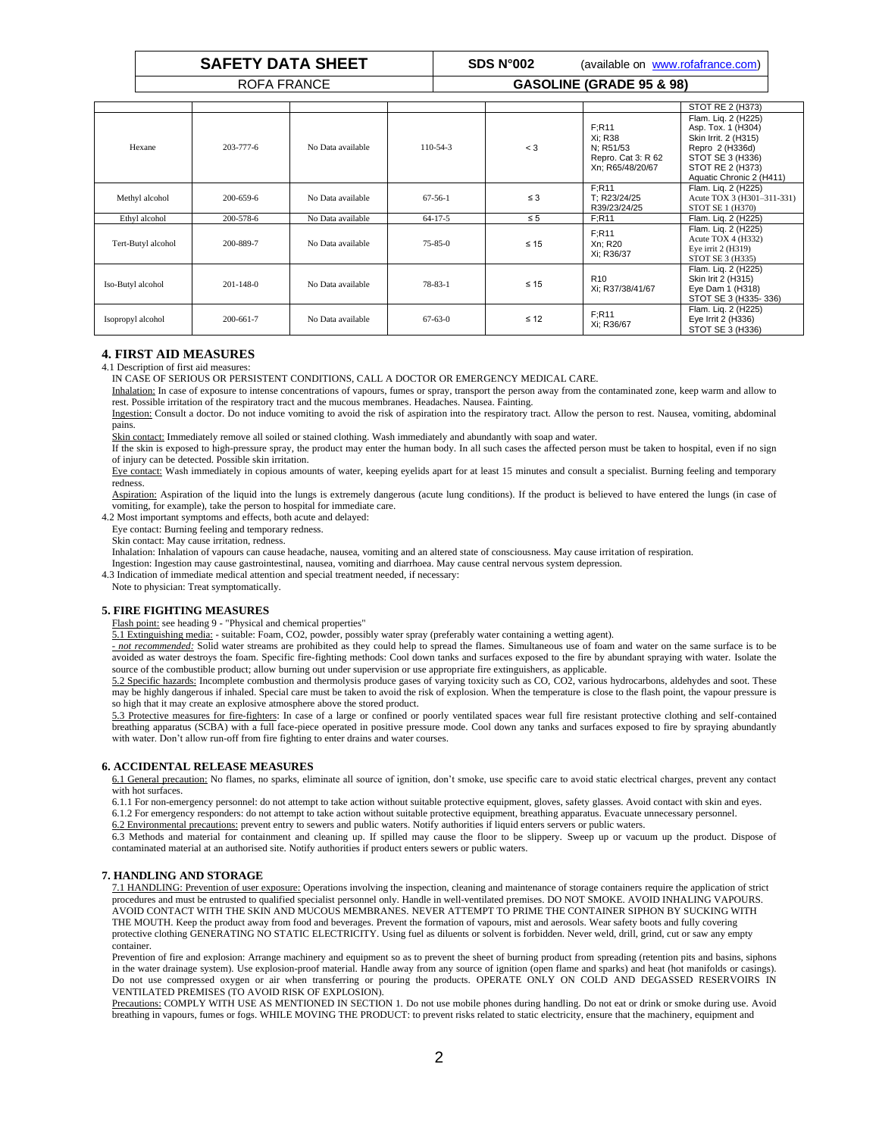**SAFETY DATA SHEET SDS N°002** (available on [www.rofafrance.com\)](http://www.rofafrance.com/)

# ROFA FRANCE **GASOLINE (GRADE 95 & 98)**

|                    |                 |                   |               |           |                                                                         | STOT RE 2 (H373)                                                                                                                                         |
|--------------------|-----------------|-------------------|---------------|-----------|-------------------------------------------------------------------------|----------------------------------------------------------------------------------------------------------------------------------------------------------|
| Hexane             | $203 - 777 - 6$ | No Data available | $110-54-3$    | $<$ 3     | F:R11<br>Xi: R38<br>N: R51/53<br>Repro. Cat 3: R 62<br>Xn; R65/48/20/67 | Flam. Lig. 2 (H225)<br>Asp. Tox. 1 (H304)<br>Skin Irrit. 2 (H315)<br>Repro 2 (H336d)<br>STOT SE 3 (H336)<br>STOT RE 2 (H373)<br>Aquatic Chronic 2 (H411) |
| Methyl alcohol     | 200-659-6       | No Data available | $67 - 56 - 1$ | $\leq 3$  | F:R11<br>T: R23/24/25<br>R39/23/24/25                                   | Flam. Liq. 2 (H225)<br>Acute TOX 3 (H301-311-331)<br>STOT SE 1 (H370)                                                                                    |
| Ethyl alcohol      | 200-578-6       | No Data available | $64 - 17 - 5$ | $\leq 5$  | F:R11                                                                   | Flam. Lig. 2 (H225)                                                                                                                                      |
| Tert-Butyl alcohol | 200-889-7       | No Data available | $75 - 85 - 0$ | $\leq 15$ | F:R11<br>Xn: R20<br>Xi; R36/37                                          | Flam. Lig. 2 (H225)<br>Acute TOX 4 (H332)<br>Eye irrit 2 (H319)<br>STOT SE 3 (H335)                                                                      |
| Iso-Butyl alcohol  | $201 - 148 - 0$ | No Data available | $78 - 83 - 1$ | $\leq 15$ | R <sub>10</sub><br>Xi; R37/38/41/67                                     | Flam. Lig. 2 (H225)<br>Skin Irit 2 (H315)<br>Eye Dam 1 (H318)<br>STOT SE 3 (H335-336)                                                                    |
| Isopropyl alcohol  | 200-661-7       | No Data available | $67 - 63 - 0$ | $\leq 12$ | F:R11<br>Xi; R36/67                                                     | Flam. Lig. 2 (H225)<br>Eye Irrit 2 (H336)<br>STOT SE 3 (H336)                                                                                            |

# **4. FIRST AID MEASURES**

4.1 Description of first aid measures:

IN CASE OF SERIOUS OR PERSISTENT CONDITIONS, CALL A DOCTOR OR EMERGENCY MEDICAL CARE.

Inhalation: In case of exposure to intense concentrations of vapours, fumes or spray, transport the person away from the contaminated zone, keep warm and allow to rest. Possible irritation of the respiratory tract and the mucous membranes. Headaches. Nausea. Fainting.

Ingestion: Consult a doctor. Do not induce vomiting to avoid the risk of aspiration into the respiratory tract. Allow the person to rest. Nausea, vomiting, abdominal pains.

Skin contact: Immediately remove all soiled or stained clothing. Wash immediately and abundantly with soap and water.

If the skin is exposed to high-pressure spray, the product may enter the human body. In all such cases the affected person must be taken to hospital, even if no sign of injury can be detected. Possible skin irritation.

Eye contact: Wash immediately in copious amounts of water, keeping eyelids apart for at least 15 minutes and consult a specialist. Burning feeling and temporary redness.

Aspiration: Aspiration of the liquid into the lungs is extremely dangerous (acute lung conditions). If the product is believed to have entered the lungs (in case of vomiting, for example), take the person to hospital for immediate care.

4.2 Most important symptoms and effects, both acute and delayed:

Eye contact: Burning feeling and temporary redness.

Skin contact: May cause irritation, redness.

Inhalation: Inhalation of vapours can cause headache, nausea, vomiting and an altered state of consciousness. May cause irritation of respiration.

Ingestion: Ingestion may cause gastrointestinal, nausea, vomiting and diarrhoea. May cause central nervous system depression.

4.3 Indication of immediate medical attention and special treatment needed, if necessary: Note to physician: Treat symptomatically.

**5. FIRE FIGHTING MEASURES**

Flash point: see heading 9 - "Physical and chemical properties"

5.1 Extinguishing media: - suitable: Foam, CO2, powder, possibly water spray (preferably water containing a wetting agent).

*- not recommended:* Solid water streams are prohibited as they could help to spread the flames. Simultaneous use of foam and water on the same surface is to be avoided as water destroys the foam. Specific fire-fighting methods: Cool down tanks and surfaces exposed to the fire by abundant spraying with water. Isolate the source of the combustible product; allow burning out under supervision or use appropriate fire extinguishers, as applicable.

5.2 Specific hazards: Incomplete combustion and thermolysis produce gases of varying toxicity such as CO, CO2, various hydrocarbons, aldehydes and soot. These may be highly dangerous if inhaled. Special care must be taken to avoid the risk of explosion. When the temperature is close to the flash point, the vapour pressure is so high that it may create an explosive atmosphere above the stored product.

5.3 Protective measures for fire-fighters: In case of a large or confined or poorly ventilated spaces wear full fire resistant protective clothing and self-contained breathing apparatus (SCBA) with a full face-piece operated in positive pressure mode. Cool down any tanks and surfaces exposed to fire by spraying abundantly with water. Don't allow run-off from fire fighting to enter drains and water courses.

# **6. ACCIDENTAL RELEASE MEASURES**

6.1 General precaution: No flames, no sparks, eliminate all source of ignition, don't smoke, use specific care to avoid static electrical charges, prevent any contact with hot surfaces.

6.1.1 For non-emergency personnel: do not attempt to take action without suitable protective equipment, gloves, safety glasses. Avoid contact with skin and eyes. 6.1.2 For emergency responders: do not attempt to take action without suitable protective equipment, breathing apparatus. Evacuate unnecessary personnel.

6.2 Environmental precautions: prevent entry to sewers and public waters. Notify authorities if liquid enters servers or public waters.

6.3 Methods and material for containment and cleaning up. If spilled may cause the floor to be slippery. Sweep up or vacuum up the product. Dispose of contaminated material at an authorised site. Notify authorities if product enters sewers or public waters.

# **7. HANDLING AND STORAGE**

7.1 HANDLING: Prevention of user exposure: Operations involving the inspection, cleaning and maintenance of storage containers require the application of strict procedures and must be entrusted to qualified specialist personnel only. Handle in well-ventilated premises. DO NOT SMOKE. AVOID INHALING VAPOURS. AVOID CONTACT WITH THE SKIN AND MUCOUS MEMBRANES. NEVER ATTEMPT TO PRIME THE CONTAINER SIPHON BY SUCKING WITH THE MOUTH. Keep the product away from food and beverages. Prevent the formation of vapours, mist and aerosols. Wear safety boots and fully covering protective clothing GENERATING NO STATIC ELECTRICITY. Using fuel as diluents or solvent is forbidden. Never weld, drill, grind, cut or saw any empty container.

Prevention of fire and explosion: Arrange machinery and equipment so as to prevent the sheet of burning product from spreading (retention pits and basins, siphons in the water drainage system). Use explosion-proof material. Handle away from any source of ignition (open flame and sparks) and heat (hot manifolds or casings). Do not use compressed oxygen or air when transferring or pouring the products. OPERATE ONLY ON COLD AND DEGASSED RESERVOIRS IN VENTILATED PREMISES (TO AVOID RISK OF EXPLOSION).

Precautions: COMPLY WITH USE AS MENTIONED IN SECTION 1. Do not use mobile phones during handling. Do not eat or drink or smoke during use. Avoid breathing in vapours, fumes or fogs. WHILE MOVING THE PRODUCT: to prevent risks related to static electricity, ensure that the machinery, equipment and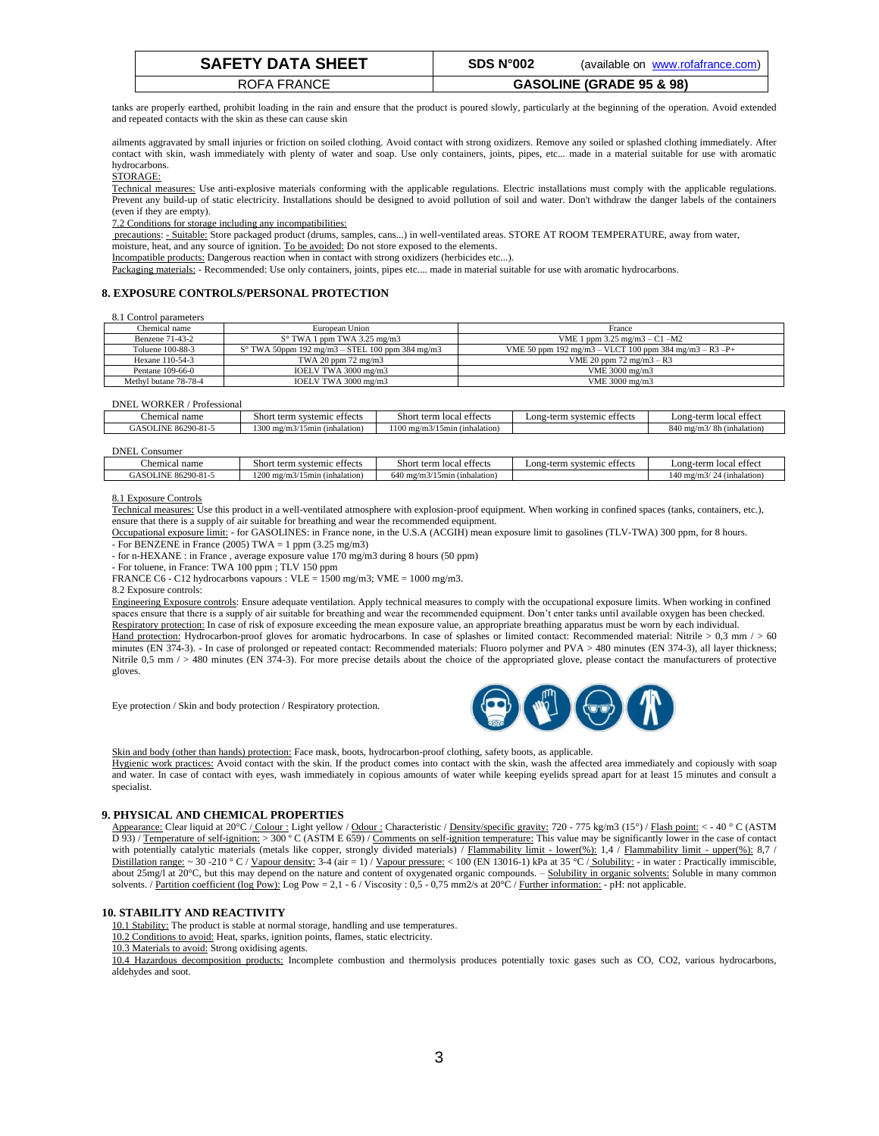| <b>SAFETY DATA SHEET</b> | SDS N°002 | (available on www.rofafrance.com)   |
|--------------------------|-----------|-------------------------------------|
| ROFA FRANCE              |           | <b>GASOLINE (GRADE 95 &amp; 98)</b> |

tanks are properly earthed, prohibit loading in the rain and ensure that the product is poured slowly, particularly at the beginning of the operation. Avoid extended and repeated contacts with the skin as these can cause skin

ailments aggravated by small injuries or friction on soiled clothing. Avoid contact with strong oxidizers. Remove any soiled or splashed clothing immediately. After contact with skin, wash immediately with plenty of water and soap. Use only containers, joints, pipes, etc... made in a material suitable for use with aromatic hydrocarbons.

#### STORAGE:

Technical measures: Use anti-explosive materials conforming with the applicable regulations. Electric installations must comply with the applicable regulations. Prevent any build-up of static electricity. Installations should be designed to avoid pollution of soil and water. Don't withdraw the danger labels of the containers (even if they are empty).

7.2 Conditions for storage including any incompatibilities:

precautions: - Suitable: Store packaged product (drums, samples, cans...) in well-ventilated areas. STORE AT ROOM TEMPERATURE, away from water,

moisture, heat, and any source of ignition. To be avoided: Do not store exposed to the elements.

Incompatible products: Dangerous reaction when in contact with strong oxidizers (herbicides etc...).

Packaging materials: - Recommended: Use only containers, joints, pipes etc.... made in material suitable for use with aromatic hydrocarbons.

# **8. EXPOSURE CONTROLS/PERSONAL PROTECTION**

8.1 Control parameters

| Chemical name         | European Union                                           | France                                                 |
|-----------------------|----------------------------------------------------------|--------------------------------------------------------|
| Benzene 71-43-2       | $S^{\circ}$ TWA 1 ppm TWA 3.25 mg/m3                     | VME 1 ppm $3.25 \text{ mg/m}$ $3 - C1 - M2$            |
| Toluene 100-88-3      | $S^{\circ}$ TWA 50ppm 192 mg/m3 – STEL 100 ppm 384 mg/m3 | VME 50 ppm 192 mg/m3 - VLCT 100 ppm 384 mg/m3 - R3 -P+ |
| Hexane 110-54-3       | TWA 20 ppm $72 \text{ mg/m}$ 3                           | VME 20 ppm $72 \text{ mg/m}3 - R3$                     |
| Pentane 109-66-0      | IOELV TWA 3000 mg/m3                                     | VME 3000 mg/m3                                         |
| Methyl butane 78-78-4 | IOELV TWA 3000 mg/m3                                     | VME 3000 mg/m3                                         |
|                       |                                                          |                                                        |

#### DNEL WORKER / Professional

| <b>DINET</b><br>WUKNEK<br><b>PTOTESSIONAL</b> |                                            |                                                            |                                                        |                                     |
|-----------------------------------------------|--------------------------------------------|------------------------------------------------------------|--------------------------------------------------------|-------------------------------------|
| Chemical name                                 | effects<br>short<br>svstemic<br>: term s   | <b>Short</b><br>t term local effects                       | $\sim$<br>effects<br>$\text{Long-term } s$<br>systemic | Long-term local effect              |
| $86290 - 81 -$<br><b>JASOLINE</b>             | 1300<br>(inhalation)<br>/15min<br>$mg/m$ . | 100<br>/15min (inhalation)<br>$\frac{\text{mg}}{\text{m}}$ |                                                        | 840<br>mg/m3/8h (inhalation)<br>י⊷ר |
|                                               |                                            |                                                            |                                                        |                                     |

#### DNEL Consumer

| name<br>:hemical                  | $\sim$<br>Shor*<br>stemic effects<br><b>CLASS 18 (CLASS)</b><br>t term | $\sim$<br>effects<br>Shor<br>tern<br>local               | $\sim$<br>effects<br>$\text{Long}$ .<br>-term<br>/stemic | . attact<br>Long-term<br>loes<br>1.0100<br>$\mathbf{1}$ |
|-----------------------------------|------------------------------------------------------------------------|----------------------------------------------------------|----------------------------------------------------------|---------------------------------------------------------|
| $86290 - 81 -$<br><b>GASOLINE</b> | 1200 mg<br>----<br>(inhalation)<br>mın<br>,,,,,,                       | $\sim$ $\sim$<br>640<br>mg/m3/<br>(inhalation)<br>'15mir |                                                          | 140 mg/m3/<br>(inhalation)<br>-41                       |
|                                   |                                                                        |                                                          |                                                          |                                                         |

#### 8.1 Exposure Controls

Technical measures: Use this product in a well-ventilated atmosphere with explosion-proof equipment. When working in confined spaces (tanks, containers, etc.), ensure that there is a supply of air suitable for breathing and wear the recommended equipment.

Occupational exposure limit: - for GASOLINES: in France none, in the U.S.A (ACGIH) mean exposure limit to gasolines (TLV-TWA) 300 ppm, for 8 hours. - For BENZENE in France (2005) TWA = 1 ppm (3.25 mg/m3)

- for n-HEXANE : in France , average exposure value 170 mg/m3 during 8 hours (50 ppm)

- For toluene, in France: TWA 100 ppm ; TLV 150 ppm

FRANCE C6 - C12 hydrocarbons vapours : VLE = 1500 mg/m3; VME = 1000 mg/m3.

8.2 Exposure controls:

Engineering Exposure controls: Ensure adequate ventilation. Apply technical measures to comply with the occupational exposure limits. When working in confined spaces ensure that there is a supply of air suitable for breathing and wear the recommended equipment. Don't enter tanks until available oxygen has been checked. Respiratory protection: In case of risk of exposure exceeding the mean exposure value, an appropriate breathing apparatus must be worn by each individual.

Hand protection: Hydrocarbon-proof gloves for aromatic hydrocarbons. In case of splashes or limited contact: Recommended material: Nitrile  $> 0.3$  mm  $/$   $> 60$ minutes (EN 374-3). - In case of prolonged or repeated contact: Recommended materials: Fluoro polymer and PVA > 480 minutes (EN 374-3), all layer thickness; Nitrile  $0.5$  mm  $/ > 480$  minutes (EN 374-3). For more precise details about the choice of the appropriated glove, please contact the manufacturers of protective gloves.

Eye protection / Skin and body protection / Respiratory protection.



Skin and body (other than hands) protection: Face mask, boots, hydrocarbon-proof clothing, safety boots, as applicable. Hygienic work practices: Avoid contact with the skin. If the product comes into contact with the skin, wash the affected area immediately and copiously with soap and water. In case of contact with eyes, wash immediately in copious amounts of water while keeping eyelids spread apart for at least 15 minutes and consult a specialist.

#### **9. PHYSICAL AND CHEMICAL PROPERTIES**

Appearance: Clear liquid at 20°C / Colour : Light yellow / Odour : Characteristic / Density/specific gravity: 720 - 775 kg/m3 (15°) / Flash point: < - 40 ° C (ASTM D 93) / Temperature of self-ignition: > 300 ° C (ASTM E 659) / Comments on self-ignition temperature: This value may be significantly lower in the case of contact with potentially catalytic materials (metals like copper, strongly divided materials) / Flammability limit - lower(%): 1,4 / Flammability limit - upper(%): 8,7 / Distillation range: ~ 30 -210 ° C / Vapour density: 3-4 (air = 1) / Vapour pressure: < 100 (EN 13016-1) kPa at 35 °C / Solubility: - in water : Practically immiscible, about 25mg/l at 20°C, but this may depend on the nature and content of oxygenated organic compounds. – Solubility in organic solvents: Soluble in many common solvents. / <u>Partition coefficient (log Pow):</u> Log Pow = 2,1 - 6 / Viscosity : 0,5 - 0,75 mm2/s at 20°C / <u>Further information:</u> - pH: not applicable.

#### **10. STABILITY AND REACTIVITY**

10.1 Stability: The product is stable at normal storage, handling and use temperatures.

10.2 Conditions to avoid: Heat, sparks, ignition points, flames, static electricity.

10.3 Materials to avoid: Strong oxidising agents.

10.4 Hazardous decomposition products: Incomplete combustion and thermolysis produces potentially toxic gases such as CO, CO2, various hydrocarbons, aldehydes and soot.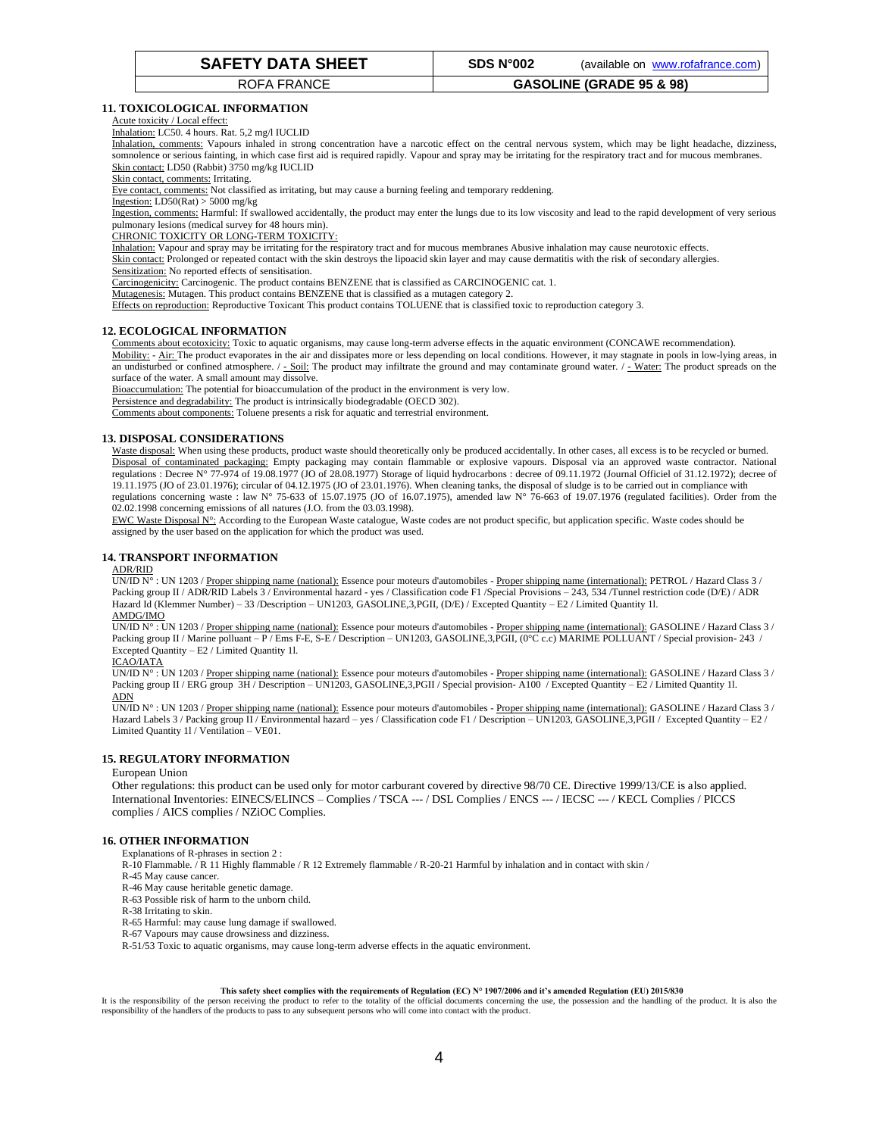# ROFA FRANCE **GASOLINE (GRADE 95 & 98)**

# **11. TOXICOLOGICAL INFORMATION**

#### Acute toxicity / Local effect:

Inhalation: LC50. 4 hours. Rat. 5,2 mg/l IUCLID

Inhalation, comments: Vapours inhaled in strong concentration have a narcotic effect on the central nervous system, which may be light headache, dizziness, somnolence or serious fainting, in which case first aid is required rapidly. Vapour and spray may be irritating for the respiratory tract and for mucous membranes. Skin contact: LD50 (Rabbit) 3750 mg/kg IUCLID

#### Skin contact, comments: Irritating.

Eye contact, comments: Not classified as irritating, but may cause a burning feeling and temporary reddening.

Ingestion: LD50(Rat) > 5000 mg/kg

Ingestion, comments: Harmful: If swallowed accidentally, the product may enter the lungs due to its low viscosity and lead to the rapid development of very serious pulmonary lesions (medical survey for 48 hours min).

#### CHRONIC TOXICITY OR LONG-TERM TOXICITY:

Inhalation: Vapour and spray may be irritating for the respiratory tract and for mucous membranes Abusive inhalation may cause neurotoxic effects.

Skin contact: Prolonged or repeated contact with the skin destroys the lipoacid skin layer and may cause dermatitis with the risk of secondary allergies. Sensitization: No reported effects of sensitisation.

Carcinogenicity: Carcinogenic. The product contains BENZENE that is classified as CARCINOGENIC cat. 1.

Mutagenesis: Mutagen. This product contains BENZENE that is classified as a mutagen category 2.

Effects on reproduction: Reproductive Toxicant This product contains TOLUENE that is classified toxic to reproduction category 3.

# **12. ECOLOGICAL INFORMATION**

Comments about ecotoxicity: Toxic to aquatic organisms, may cause long-term adverse effects in the aquatic environment (CONCAWE recommendation).

Mobility: - Air: The product evaporates in the air and dissipates more or less depending on local conditions. However, it may stagnate in pools in low-lying areas, in an undisturbed or confined atmosphere.  $/ -$  Soil: The product may infiltrate the ground and may contaminate ground water.  $/ -$  Water: The product spreads on the surface of the water. A small amount may dissolve.

Bioaccumulation: The potential for bioaccumulation of the product in the environment is very low.

Persistence and degradability: The product is intrinsically biodegradable (OECD 302).

Comments about components: Toluene presents a risk for aquatic and terrestrial environment.

#### **13. DISPOSAL CONSIDERATIONS**

Waste disposal: When using these products, product waste should theoretically only be produced accidentally. In other cases, all excess is to be recycled or burned. Disposal of contaminated packaging: Empty packaging may contain flammable or explosive vapours. Disposal via an approved waste contractor. National regulations : Decree N° 77-974 of 19.08.1977 (JO of 28.08.1977) Storage of liquid hydrocarbons : decree of 09.11.1972 (Journal Officiel of 31.12.1972); decree of 19.11.1975 (JO of 23.01.1976); circular of 04.12.1975 (JO of 23.01.1976). When cleaning tanks, the disposal of sludge is to be carried out in compliance with regulations concerning waste : law N° 75-633 of 15.07.1975 (JO of 16.07.1975), amended law N° 76-663 of 19.07.1976 (regulated facilities). Order from the 02.02.1998 concerning emissions of all natures (J.O. from the 03.03.1998).

EWC Waste Disposal N°: According to the European Waste catalogue, Waste codes are not product specific, but application specific. Waste codes should be assigned by the user based on the application for which the product was used.

# **14. TRANSPORT INFORMATION**

#### ADR/RID

UN/ID N° : UN 1203 / Proper shipping name (national): Essence pour moteurs d'automobiles - Proper shipping name (international): PETROL / Hazard Class 3 / Packing group II / ADR/RID Labels 3 / Environmental hazard - yes / Classification code F1 /Special Provisions – 243, 534 /Tunnel restriction code (D/E) / ADR Hazard Id (Klemmer Number) – 33 /Description – UN1203, GASOLINE,3,PGII, (D/E) / Excepted Quantity – E2 / Limited Quantity 1l. AMDG/IMO

UN/ID N° : UN 1203 / Proper shipping name (national): Essence pour moteurs d'automobiles - Proper shipping name (international): GASOLINE / Hazard Class 3 / Packing group II / Marine polluant – P / Ems F-E, S-E / Description – UN1203, GASOLINE,3,PGII, (0°C c.c) MARIME POLLUANT / Special provision- 243 / Excepted Quantity – E2 / Limited Quantity 1l.

#### ICAO/IATA

UN/ID N° : UN 1203 / Proper shipping name (national): Essence pour moteurs d'automobiles - Proper shipping name (international): GASOLINE / Hazard Class 3 / Packing group II / ERG group 3H / Description – UN1203, GASOLINE,3,PGII / Special provision- A100 / Excepted Quantity – E2 / Limited Quantity 1l. ADN

UN/ID N° : UN 1203 / Proper shipping name (national): Essence pour moteurs d'automobiles - Proper shipping name (international): GASOLINE / Hazard Class 3 / Hazard Labels 3 / Packing group II / Environmental hazard – yes / Classification code F1 / Description – UN1203, GASOLINE,3,PGII / Excepted Quantity – E2 / Limited Quantity 1l / Ventilation – VE01.

#### **15. REGULATORY INFORMATION**

# European Union

Other regulations: this product can be used only for motor carburant covered by directive 98/70 CE. Directive 1999/13/CE is also applied. International Inventories: EINECS/ELINCS – Complies / TSCA --- / DSL Complies / ENCS --- / IECSC --- / KECL Complies / PICCS complies / AICS complies / NZiOC Complies.

#### **16. OTHER INFORMATION**

Explanations of R-phrases in section 2 :

R-10 Flammable. / R 11 Highly flammable / R 12 Extremely flammable / R-20-21 Harmful by inhalation and in contact with skin /

- R-45 May cause cancer.
- R-46 May cause heritable genetic damage.
- R-63 Possible risk of harm to the unborn child.
- R-38 Irritating to skin.
- R-65 Harmful: may cause lung damage if swallowed.
- R-67 Vapours may cause drowsiness and dizziness.

R-51/53 Toxic to aquatic organisms, may cause long-term adverse effects in the aquatic environment.

#### **This safety sheet complies with the requirements of Regulation (EC) N° 1907/2006 and it's amended Regulation (EU) 2015/830**

It is the responsibility of the person receiving the product to refer to the totality of the official documents concerning the use, the possession and the handling of the product. It is also the responsibility of the handlers of the products to pass to any subsequent persons who will come into contact with the product.